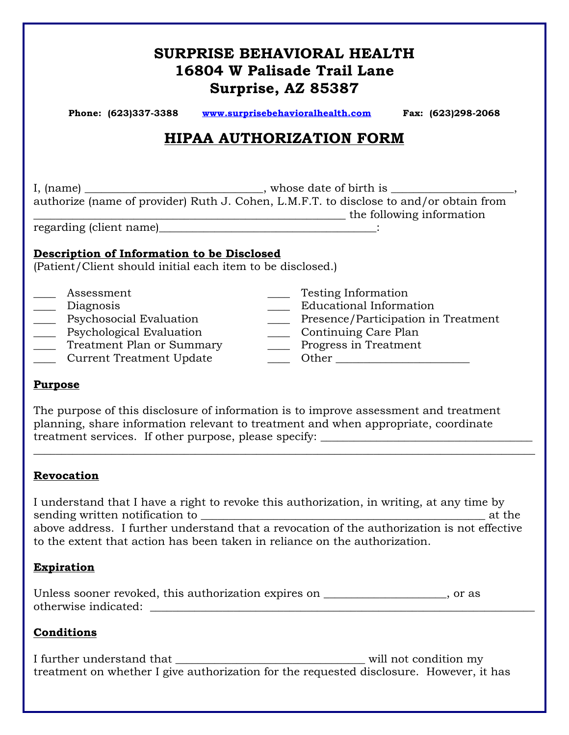# **SURPRISE BEHAVIORAL HEALTH 16804 W Palisade Trail Lane Surprise, AZ 85387**

| Phone: (623)337-3388 | www.surprisebehavioralhealth.com | Fax: (623)298-2068 |
|----------------------|----------------------------------|--------------------|
|----------------------|----------------------------------|--------------------|

## **HIPAA AUTHORIZATION FORM**

I, (name) \_\_\_\_\_\_\_\_\_\_\_\_\_\_\_\_\_\_\_\_\_\_\_\_\_\_\_\_\_\_\_\_, whose date of birth is \_\_\_\_\_\_\_\_\_\_\_\_\_\_\_\_\_\_\_\_\_\_, authorize (name of provider) Ruth J. Cohen, L.M.F.T. to disclose to and/or obtain from \_\_\_\_\_\_\_\_\_\_\_\_\_\_\_\_\_\_\_\_\_\_\_\_\_\_\_\_\_\_\_\_\_\_\_\_\_\_\_\_\_\_\_\_\_\_\_\_\_\_\_\_\_\_\_\_ the following information

regarding (client name)\_\_\_\_\_\_\_\_\_\_\_\_\_\_\_\_\_\_\_\_\_\_\_\_\_\_\_\_\_\_\_\_\_\_\_\_\_\_\_:

### **Description of Information to be Disclosed**

(Patient/Client should initial each item to be disclosed.)

\_\_\_\_ Assessment \_\_\_\_ Testing Information \_\_\_\_ Diagnosis \_\_\_\_ Educational Information \_\_\_\_ Psychosocial Evaluation \_\_\_\_ Presence/Participation in Treatment \_\_\_\_ Psychological Evaluation \_\_\_\_ Continuing Care Plan \_\_\_\_ Treatment Plan or Summary \_\_\_\_ Progress in Treatment \_\_\_\_\_ Current Treatment Update \_\_\_\_\_\_\_\_\_ Other \_\_\_\_\_\_\_\_\_\_\_\_\_\_\_\_\_\_\_\_\_\_\_\_\_\_\_\_\_\_\_\_\_

### **Purpose**

The purpose of this disclosure of information is to improve assessment and treatment planning, share information relevant to treatment and when appropriate, coordinate treatment services. If other purpose, please specify:

### **Revocation**

I understand that I have a right to revoke this authorization, in writing, at any time by sending written notification to \_\_\_\_\_\_\_\_\_\_\_\_\_\_\_\_\_\_\_\_\_\_\_\_\_\_\_\_\_\_\_\_\_\_\_\_\_\_\_\_\_\_\_\_\_\_\_\_\_\_\_ at the above address. I further understand that a revocation of the authorization is not effective to the extent that action has been taken in reliance on the authorization.

 $\_$  , and the set of the set of the set of the set of the set of the set of the set of the set of the set of the set of the set of the set of the set of the set of the set of the set of the set of the set of the set of th

### **Expiration**

|                      | Unless sooner revoked, this authorization expires on | or as |
|----------------------|------------------------------------------------------|-------|
| otherwise indicated: |                                                      |       |

### **Conditions**

I further understand that will not condition my treatment on whether I give authorization for the requested disclosure. However, it has